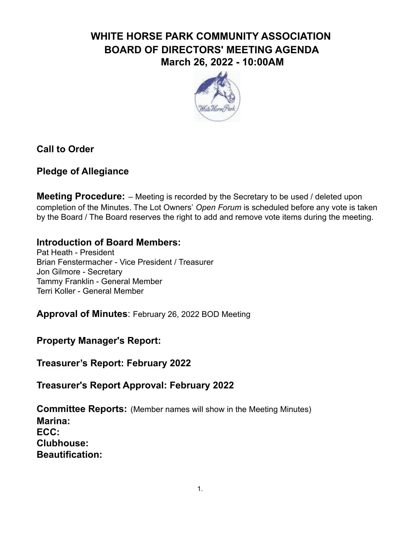# **WHITE HORSE PARK COMMUNITY ASSOCIATION BOARD OF DIRECTORS' MEETING AGENDA March 26, 2022 - 10:00AM**



### **Call to Order**

#### **Pledge of Allegiance**

**Meeting Procedure:** – Meeting is recorded by the Secretary to be used / deleted upon completion of the Minutes. The Lot Owners' *Open Forum* is scheduled before any vote is taken by the Board / The Board reserves the right to add and remove vote items during the meeting.

#### **Introduction of Board Members:**

Pat Heath - President Brian Fenstermacher - Vice President / Treasurer Jon Gilmore - Secretary Tammy Franklin - General Member Terri Koller - General Member

**Approval of Minutes**: February 26, 2022 BOD Meeting

**Property Manager's Report:**

**Treasurer's Report: February 2022**

**Treasurer's Report Approval: February 2022**

**Committee Reports:** (Member names will show in the Meeting Minutes) **Marina: ECC: Clubhouse: Beautification:**